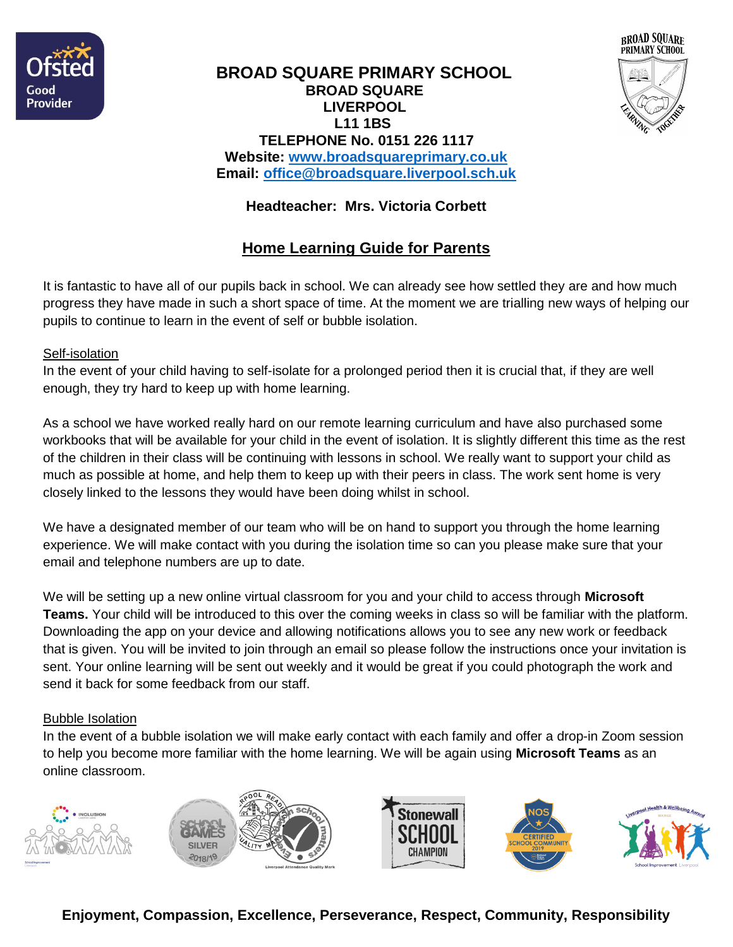



## **BROAD SQUARE PRIMARY SCHOOL BROAD SQUARE LIVERPOOL L11 1BS TELEPHONE No. 0151 226 1117 Website: [www.broadsquareprimary.co.uk](http://www.broadsquareprimary.co.uk/) Email: [office@broadsquare.liverpool.sch.uk](mailto:office@broadsquare.liverpool.sch.uk)**

# **Headteacher: Mrs. Victoria Corbett**

# **Home Learning Guide for Parents**

It is fantastic to have all of our pupils back in school. We can already see how settled they are and how much progress they have made in such a short space of time. At the moment we are trialling new ways of helping our pupils to continue to learn in the event of self or bubble isolation.

#### Self-isolation

In the event of your child having to self-isolate for a prolonged period then it is crucial that, if they are well enough, they try hard to keep up with home learning.

As a school we have worked really hard on our remote learning curriculum and have also purchased some workbooks that will be available for your child in the event of isolation. It is slightly different this time as the rest of the children in their class will be continuing with lessons in school. We really want to support your child as much as possible at home, and help them to keep up with their peers in class. The work sent home is very closely linked to the lessons they would have been doing whilst in school.

We have a designated member of our team who will be on hand to support you through the home learning experience. We will make contact with you during the isolation time so can you please make sure that your email and telephone numbers are up to date.

We will be setting up a new online virtual classroom for you and your child to access through **Microsoft Teams.** Your child will be introduced to this over the coming weeks in class so will be familiar with the platform. Downloading the app on your device and allowing notifications allows you to see any new work or feedback that is given. You will be invited to join through an email so please follow the instructions once your invitation is sent. Your online learning will be sent out weekly and it would be great if you could photograph the work and send it back for some feedback from our staff.

#### Bubble Isolation

In the event of a bubble isolation we will make early contact with each family and offer a drop-in Zoom session to help you become more familiar with the home learning. We will be again using **Microsoft Teams** as an online classroom.



**Enjoyment, Compassion, Excellence, Perseverance, Respect, Community, Responsibility**